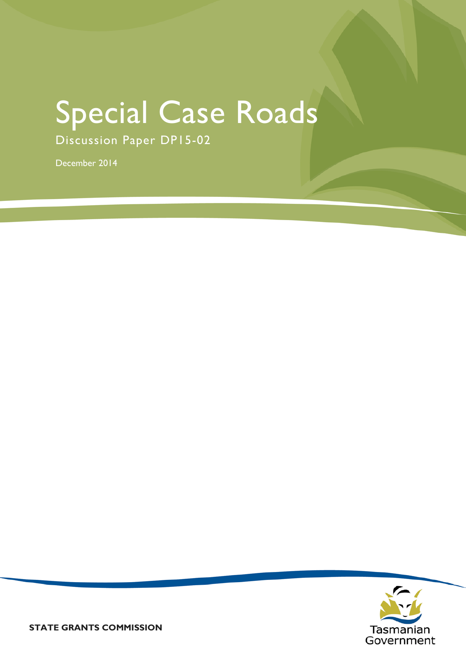# Special Case Roads

Discussion Paper DP15-02

December 2014

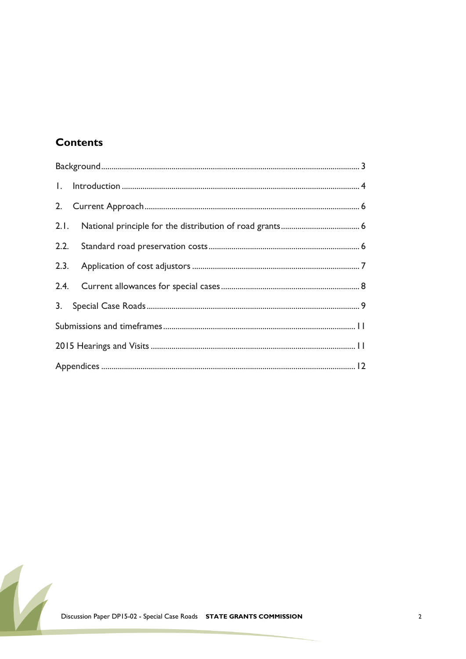#### **Contents**

| 2.   |  |
|------|--|
|      |  |
| 2.2. |  |
|      |  |
|      |  |
| 3.   |  |
|      |  |
|      |  |
|      |  |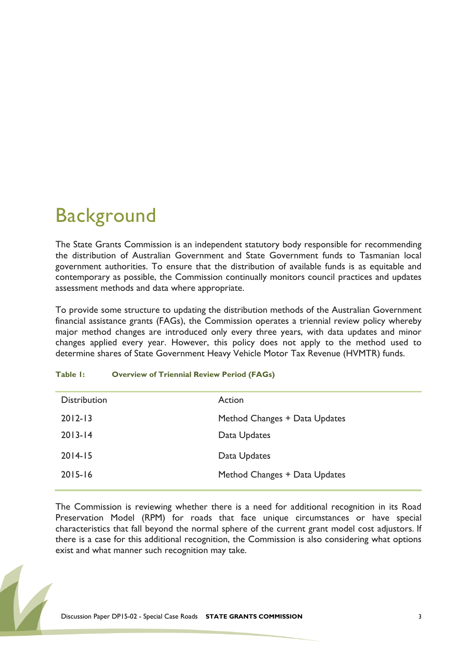# <span id="page-2-0"></span>**Background**

The State Grants Commission is an independent statutory body responsible for recommending the distribution of Australian Government and State Government funds to Tasmanian local government authorities. To ensure that the distribution of available funds is as equitable and contemporary as possible, the Commission continually monitors council practices and updates assessment methods and data where appropriate.

To provide some structure to updating the distribution methods of the Australian Government financial assistance grants (FAGs), the Commission operates a triennial review policy whereby major method changes are introduced only every three years, with data updates and minor changes applied every year. However, this policy does not apply to the method used to determine shares of State Government Heavy Vehicle Motor Tax Revenue (HVMTR) funds.

| Table I: |  | <b>Overview of Triennial Review Period (FAGs)</b> |  |  |  |
|----------|--|---------------------------------------------------|--|--|--|
|----------|--|---------------------------------------------------|--|--|--|

| <b>Distribution</b> | Action                        |
|---------------------|-------------------------------|
| $2012 - 13$         | Method Changes + Data Updates |
| $2013 - 14$         | Data Updates                  |
| $2014 - 15$         | Data Updates                  |
| $2015 - 16$         | Method Changes + Data Updates |
|                     |                               |

The Commission is reviewing whether there is a need for additional recognition in its Road Preservation Model (RPM) for roads that face unique circumstances or have special characteristics that fall beyond the normal sphere of the current grant model cost adjustors. If there is a case for this additional recognition, the Commission is also considering what options exist and what manner such recognition may take.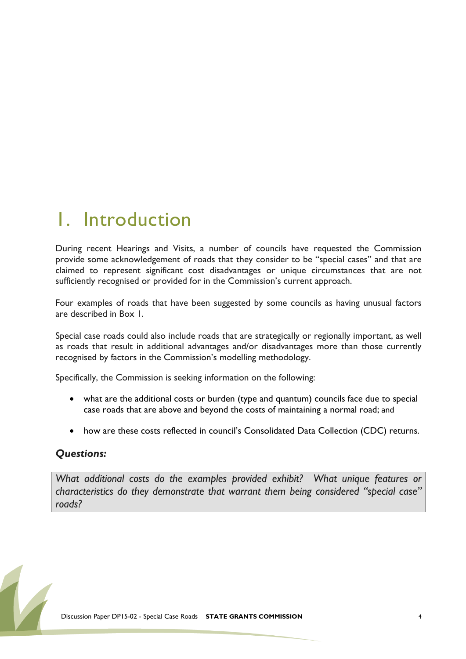### <span id="page-3-0"></span>1. Introduction

During recent Hearings and Visits, a number of councils have requested the Commission provide some acknowledgement of roads that they consider to be "special cases" and that are claimed to represent significant cost disadvantages or unique circumstances that are not sufficiently recognised or provided for in the Commission's current approach.

Four examples of roads that have been suggested by some councils as having unusual factors are described in Box 1.

Special case roads could also include roads that are strategically or regionally important, as well as roads that result in additional advantages and/or disadvantages more than those currently recognised by factors in the Commission's modelling methodology.

Specifically, the Commission is seeking information on the following:

- what are the additional costs or burden (type and quantum) councils face due to special case roads that are above and beyond the costs of maintaining a normal road; and
- how are these costs reflected in council's Consolidated Data Collection (CDC) returns.

#### *Questions:*

*What additional costs do the examples provided exhibit? What unique features or characteristics do they demonstrate that warrant them being considered "special case" roads?*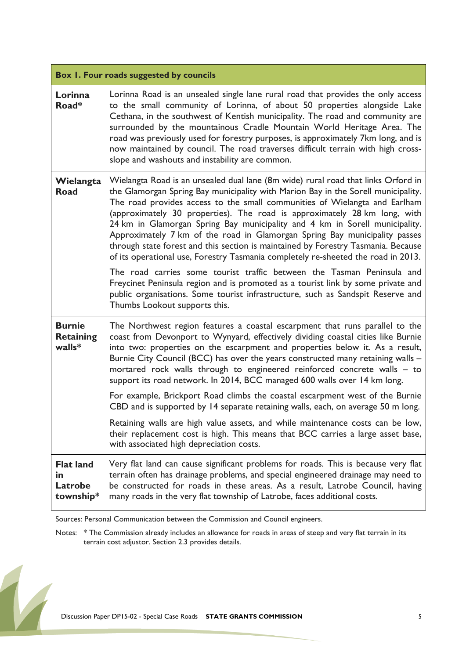|                                                 | Box 1. Four roads suggested by councils                                                                                                                                                                                                                                                                                                                                                                                                                                                                                                                                                                                                                                  |
|-------------------------------------------------|--------------------------------------------------------------------------------------------------------------------------------------------------------------------------------------------------------------------------------------------------------------------------------------------------------------------------------------------------------------------------------------------------------------------------------------------------------------------------------------------------------------------------------------------------------------------------------------------------------------------------------------------------------------------------|
| Lorinna<br>Road*                                | Lorinna Road is an unsealed single lane rural road that provides the only access<br>to the small community of Lorinna, of about 50 properties alongside Lake<br>Cethana, in the southwest of Kentish municipality. The road and community are<br>surrounded by the mountainous Cradle Mountain World Heritage Area. The<br>road was previously used for forestry purposes, is approximately 7km long, and is<br>now maintained by council. The road traverses difficult terrain with high cross-<br>slope and washouts and instability are common.                                                                                                                       |
| Wielangta<br>Road                               | Wielangta Road is an unsealed dual lane (8m wide) rural road that links Orford in<br>the Glamorgan Spring Bay municipality with Marion Bay in the Sorell municipality.<br>The road provides access to the small communities of Wielangta and Earlham<br>(approximately 30 properties). The road is approximately 28 km long, with<br>24 km in Glamorgan Spring Bay municipality and 4 km in Sorell municipality.<br>Approximately 7 km of the road in Glamorgan Spring Bay municipality passes<br>through state forest and this section is maintained by Forestry Tasmania. Because<br>of its operational use, Forestry Tasmania completely re-sheeted the road in 2013. |
|                                                 | The road carries some tourist traffic between the Tasman Peninsula and<br>Freycinet Peninsula region and is promoted as a tourist link by some private and<br>public organisations. Some tourist infrastructure, such as Sandspit Reserve and<br>Thumbs Lookout supports this.                                                                                                                                                                                                                                                                                                                                                                                           |
| <b>Burnie</b><br><b>Retaining</b><br>walls*     | The Northwest region features a coastal escarpment that runs parallel to the<br>coast from Devonport to Wynyard, effectively dividing coastal cities like Burnie<br>into two: properties on the escarpment and properties below it. As a result,<br>Burnie City Council (BCC) has over the years constructed many retaining walls -<br>mortared rock walls through to engineered reinforced concrete walls - to<br>support its road network. In 2014, BCC managed 600 walls over 14 km long.                                                                                                                                                                             |
|                                                 | For example, Brickport Road climbs the coastal escarpment west of the Burnie<br>CBD and is supported by 14 separate retaining walls, each, on average 50 m long.                                                                                                                                                                                                                                                                                                                                                                                                                                                                                                         |
|                                                 | Retaining walls are high value assets, and while maintenance costs can be low,<br>their replacement cost is high. This means that BCC carries a large asset base,<br>with associated high depreciation costs.                                                                                                                                                                                                                                                                                                                                                                                                                                                            |
| <b>Flat land</b><br>in.<br>Latrobe<br>township* | Very flat land can cause significant problems for roads. This is because very flat<br>terrain often has drainage problems, and special engineered drainage may need to<br>be constructed for roads in these areas. As a result, Latrobe Council, having<br>many roads in the very flat township of Latrobe, faces additional costs.                                                                                                                                                                                                                                                                                                                                      |

Sources: Personal Communication between the Commission and Council engineers.

Notes: \* The Commission already includes an allowance for roads in areas of steep and very flat terrain in its terrain cost adjustor. Section 2.3 provides details.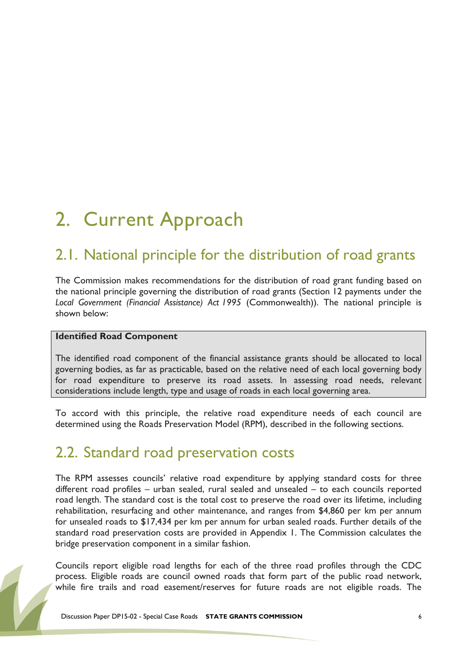# <span id="page-5-0"></span>2. Current Approach

### <span id="page-5-1"></span>2.1. National principle for the distribution of road grants

The Commission makes recommendations for the distribution of road grant funding based on the national principle governing the distribution of road grants (Section 12 payments under the *Local Government (Financial Assistance) Act 1995* (Commonwealth)). The national principle is shown below:

#### **Identified Road Component**

The identified road component of the financial assistance grants should be allocated to local governing bodies, as far as practicable, based on the relative need of each local governing body for road expenditure to preserve its road assets. In assessing road needs, relevant considerations include length, type and usage of roads in each local governing area.

To accord with this principle, the relative road expenditure needs of each council are determined using the Roads Preservation Model (RPM), described in the following sections.

### <span id="page-5-2"></span>2.2. Standard road preservation costs

The RPM assesses councils' relative road expenditure by applying standard costs for three different road profiles – urban sealed, rural sealed and unsealed – to each councils reported road length. The standard cost is the total cost to preserve the road over its lifetime, including rehabilitation, resurfacing and other maintenance, and ranges from \$4,860 per km per annum for unsealed roads to \$17,434 per km per annum for urban sealed roads. Further details of the standard road preservation costs are provided in Appendix 1. The Commission calculates the bridge preservation component in a similar fashion.

Councils report eligible road lengths for each of the three road profiles through the CDC process. Eligible roads are council owned roads that form part of the public road network, while fire trails and road easement/reserves for future roads are not eligible roads. The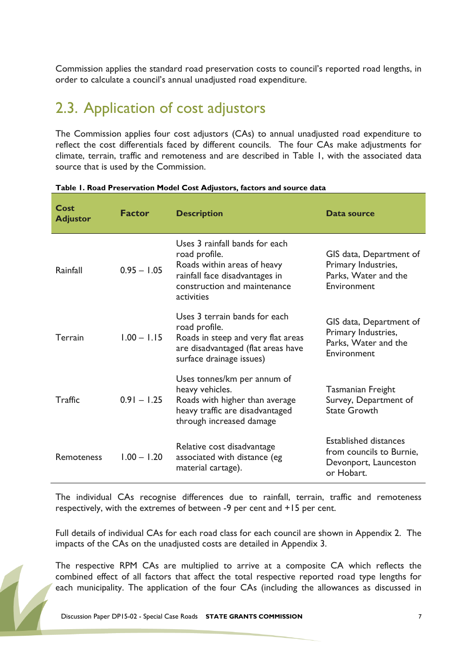Commission applies the standard road preservation costs to council's reported road lengths, in order to calculate a council's annual unadjusted road expenditure.

### <span id="page-6-0"></span>2.3. Application of cost adjustors

The Commission applies four cost adjustors (CAs) to annual unadjusted road expenditure to reflect the cost differentials faced by different councils. The four CAs make adjustments for climate, terrain, traffic and remoteness and are described in Table 1, with the associated data source that is used by the Commission.

| Cost<br><b>Adjustor</b> | <b>Factor</b> | <b>Description</b>                                                                                                                                             | Data source                                                                                     |
|-------------------------|---------------|----------------------------------------------------------------------------------------------------------------------------------------------------------------|-------------------------------------------------------------------------------------------------|
| Rainfall                | $0.95 - 1.05$ | Uses 3 rainfall bands for each<br>road profile.<br>Roads within areas of heavy<br>rainfall face disadvantages in<br>construction and maintenance<br>activities | GIS data, Department of<br>Primary Industries,<br>Parks, Water and the<br>Environment           |
| <b>Terrain</b>          | $1.00 - 1.15$ | Uses 3 terrain bands for each<br>road profile.<br>Roads in steep and very flat areas<br>are disadvantaged (flat areas have<br>surface drainage issues)         | GIS data, Department of<br>Primary Industries,<br>Parks, Water and the<br>Environment           |
| Traffic                 | $0.91 - 1.25$ | Uses tonnes/km per annum of<br>heavy vehicles.<br>Roads with higher than average<br>heavy traffic are disadvantaged<br>through increased damage                | Tasmanian Freight<br>Survey, Department of<br><b>State Growth</b>                               |
| Remoteness              | $1.00 - 1.20$ | Relative cost disadvantage<br>associated with distance (eg<br>material cartage).                                                                               | <b>Established distances</b><br>from councils to Burnie,<br>Devonport, Launceston<br>or Hobart. |

#### **Table 1. Road Preservation Model Cost Adjustors, factors and source data**

The individual CAs recognise differences due to rainfall, terrain, traffic and remoteness respectively, with the extremes of between -9 per cent and +15 per cent.

Full details of individual CAs for each road class for each council are shown in Appendix 2. The impacts of the CAs on the unadjusted costs are detailed in Appendix 3.

The respective RPM CAs are multiplied to arrive at a composite CA which reflects the combined effect of all factors that affect the total respective reported road type lengths for each municipality. The application of the four CAs (including the allowances as discussed in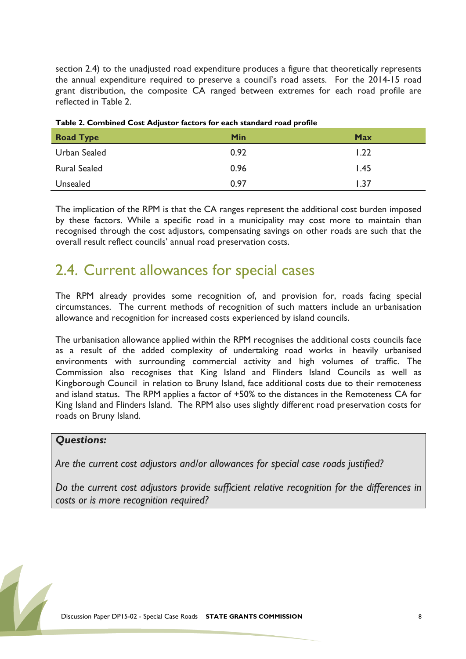section 2.4) to the unadjusted road expenditure produces a figure that theoretically represents the annual expenditure required to preserve a council's road assets. For the 2014-15 road grant distribution, the composite CA ranged between extremes for each road profile are reflected in Table 2.

| <b>Road Type</b>    | Min  | <b>Max</b> |
|---------------------|------|------------|
| Urban Sealed        | 0.92 | 1.22       |
| <b>Rural Sealed</b> | 0.96 | 1.45       |
| Unsealed            | 0.97 | 1.37       |

**Table 2. Combined Cost Adjustor factors for each standard road profile**

The implication of the RPM is that the CA ranges represent the additional cost burden imposed by these factors. While a specific road in a municipality may cost more to maintain than recognised through the cost adjustors, compensating savings on other roads are such that the overall result reflect councils' annual road preservation costs.

### <span id="page-7-0"></span>2.4. Current allowances for special cases

The RPM already provides some recognition of, and provision for, roads facing special circumstances. The current methods of recognition of such matters include an urbanisation allowance and recognition for increased costs experienced by island councils.

The urbanisation allowance applied within the RPM recognises the additional costs councils face as a result of the added complexity of undertaking road works in heavily urbanised environments with surrounding commercial activity and high volumes of traffic. The Commission also recognises that King Island and Flinders Island Councils as well as Kingborough Council in relation to Bruny Island, face additional costs due to their remoteness and island status. The RPM applies a factor of +50% to the distances in the Remoteness CA for King Island and Flinders Island. The RPM also uses slightly different road preservation costs for roads on Bruny Island.

#### *Questions:*

*Are the current cost adjustors and/or allowances for special case roads justified?* 

*Do the current cost adjustors provide sufficient relative recognition for the differences in costs or is more recognition required?*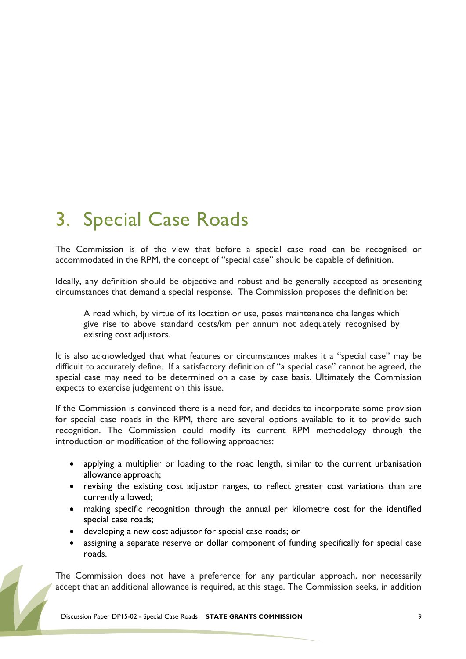# <span id="page-8-0"></span>3. Special Case Roads

The Commission is of the view that before a special case road can be recognised or accommodated in the RPM, the concept of "special case" should be capable of definition.

Ideally, any definition should be objective and robust and be generally accepted as presenting circumstances that demand a special response. The Commission proposes the definition be:

A road which, by virtue of its location or use, poses maintenance challenges which give rise to above standard costs/km per annum not adequately recognised by existing cost adjustors.

It is also acknowledged that what features or circumstances makes it a "special case" may be difficult to accurately define. If a satisfactory definition of "a special case" cannot be agreed, the special case may need to be determined on a case by case basis. Ultimately the Commission expects to exercise judgement on this issue.

If the Commission is convinced there is a need for, and decides to incorporate some provision for special case roads in the RPM, there are several options available to it to provide such recognition. The Commission could modify its current RPM methodology through the introduction or modification of the following approaches:

- applying a multiplier or loading to the road length, similar to the current urbanisation allowance approach;
- revising the existing cost adjustor ranges, to reflect greater cost variations than are currently allowed;
- making specific recognition through the annual per kilometre cost for the identified special case roads;
- developing a new cost adjustor for special case roads; or
- assigning a separate reserve or dollar component of funding specifically for special case roads.

The Commission does not have a preference for any particular approach, nor necessarily accept that an additional allowance is required, at this stage. The Commission seeks, in addition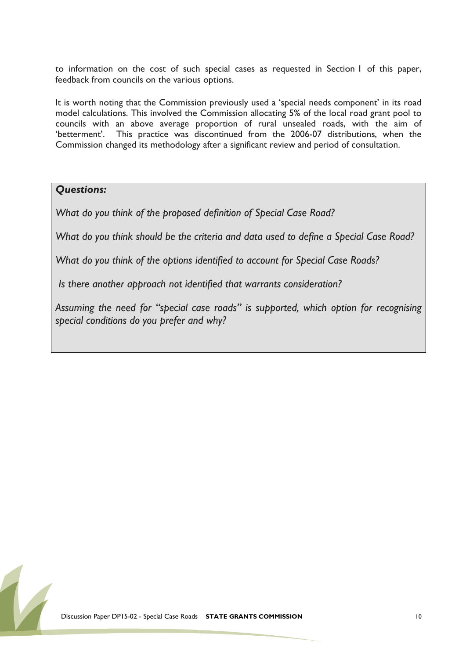to information on the cost of such special cases as requested in Section 1 of this paper, feedback from councils on the various options.

It is worth noting that the Commission previously used a 'special needs component' in its road model calculations. This involved the Commission allocating 5% of the local road grant pool to councils with an above average proportion of rural unsealed roads, with the aim of 'betterment'. This practice was discontinued from the 2006-07 distributions, when the Commission changed its methodology after a significant review and period of consultation.

#### *Questions:*

*What do you think of the proposed definition of Special Case Road?*

*What do you think should be the criteria and data used to define a Special Case Road?*

*What do you think of the options identified to account for Special Case Roads?*

*Is there another approach not identified that warrants consideration?*

*Assuming the need for "special case roads" is supported, which option for recognising special conditions do you prefer and why?*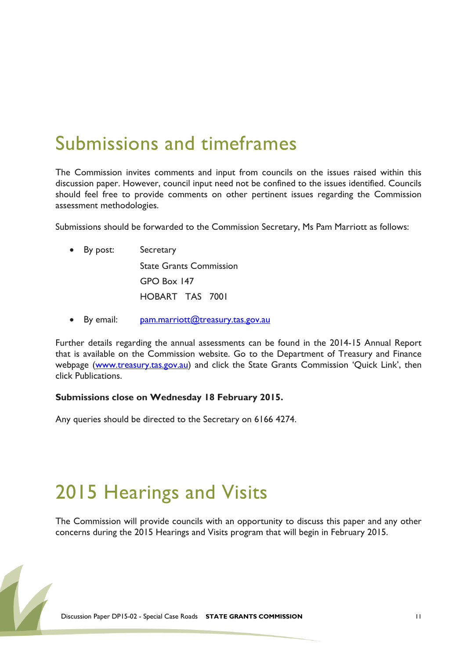### <span id="page-10-0"></span>Submissions and timeframes

The Commission invites comments and input from councils on the issues raised within this discussion paper. However, council input need not be confined to the issues identified. Councils should feel free to provide comments on other pertinent issues regarding the Commission assessment methodologies.

Submissions should be forwarded to the Commission Secretary, Ms Pam Marriott as follows:

- By post: Secretary State Grants Commission GPO Box 147 HOBART TAS 7001
- By email: [pam.marriott@treasury.tas.gov.au](mailto:pam.marriott@treasury.tas.gov.au)

Further details regarding the annual assessments can be found in the 2014-15 Annual Report that is available on the Commission website. Go to the Department of Treasury and Finance webpage [\(www.treasury.tas.gov.au\)](http://www.treasury.tas.gov.au/) and click the State Grants Commission 'Quick Link', then click Publications.

#### **Submissions close on Wednesday 18 February 2015.**

<span id="page-10-1"></span>Any queries should be directed to the Secretary on 6166 4274.

### 2015 Hearings and Visits

The Commission will provide councils with an opportunity to discuss this paper and any other concerns during the 2015 Hearings and Visits program that will begin in February 2015.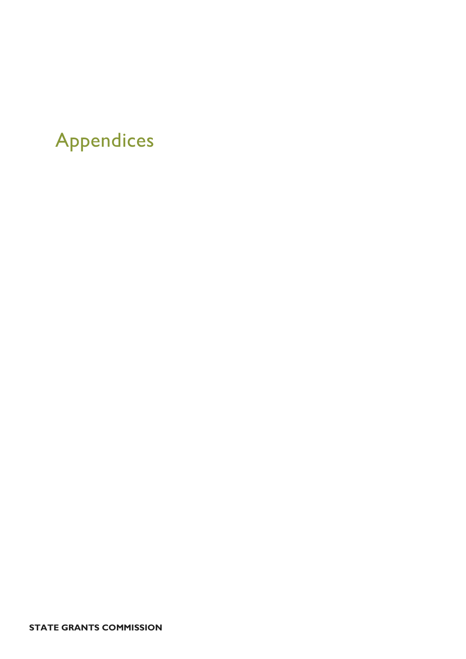# <span id="page-11-0"></span>Appendices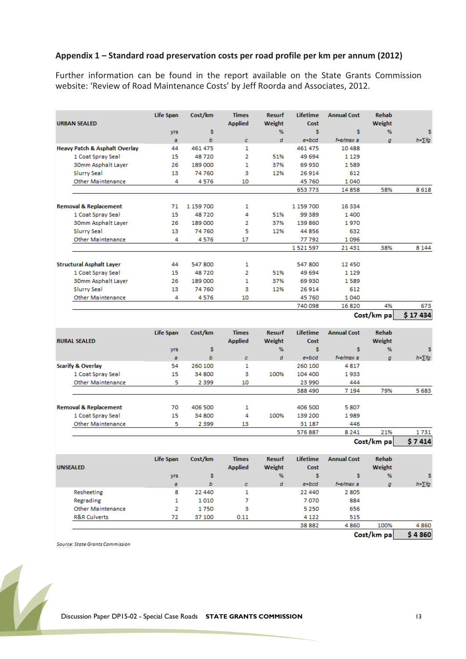#### **Appendix 1 – Standard road preservation costs per road profile per km per annum (2012)**

Further information can be found in the report available on the State Grants Commission website: 'Review of Road Maintenance Costs' by Jeff Roorda and Associates, 2012.

| <b>URBAN SEALED</b>                      | <b>Life Span</b>  | Cost/km      | <b>Times</b><br><b>Applied</b> | <b>Resurf</b><br>Weight | Lifetime<br>Cost | <b>Annual Cost</b> | <b>Rehab</b><br>Weight |                |
|------------------------------------------|-------------------|--------------|--------------------------------|-------------------------|------------------|--------------------|------------------------|----------------|
|                                          | yrs               | s            |                                | %                       | s                | s                  | %                      | s              |
|                                          | a                 | b            | $\mathbf{C}$                   | d                       | $e = bcd$        | f=e/max a          | g                      | $h = \sum f g$ |
| <b>Heavy Patch &amp; Asphalt Overlay</b> | 44                | 461 475      | 1                              |                         | 461 475          | 10488              |                        |                |
| 1 Coat Spray Seal                        | 15                | 48720        | $\overline{2}$                 | 51%                     | 49 694           | 1 1 2 9            |                        |                |
| 30mm Asphalt Layer                       | 26                | 189 000      | $\mathbf{1}$                   | 37%                     | 69 930           | 1589               |                        |                |
| <b>Slurry Seal</b>                       | 13                | 74760        | з                              | 12%                     | 26914            | 612                |                        |                |
| <b>Other Maintenance</b>                 | 4                 | 4576         | 10                             |                         | 45760            | 1040               |                        |                |
|                                          |                   |              |                                |                         | 653 773          | 14858              | 58%                    | 8618           |
|                                          |                   |              |                                |                         |                  |                    |                        |                |
| <b>Removal &amp; Replacement</b>         | 71                | 1 159 700    | 1                              |                         | 1 159 700        | 16 3 34            |                        |                |
| 1 Coat Spray Seal                        | 15                | 48720        | 4                              | 51%                     | 99 389           | 1400               |                        |                |
| 30mm Asphalt Layer                       | 26                | 189 000      | 2                              | 37%                     | 139 860          | 1970               |                        |                |
| <b>Slurry Seal</b>                       | 13                | 74760        | 5                              | 12%                     | 44856            | 632                |                        |                |
| <b>Other Maintenance</b>                 | 4                 | 4576         | 17                             |                         | 77792            | 1096               |                        |                |
|                                          |                   |              |                                |                         | 1521597          | 21 4 31            | 38%                    | 8 1 4 4        |
| <b>Structural Asphalt Layer</b>          | 44                | 547 800      | 1                              |                         | 547 800          | 12 450             |                        |                |
| 1 Coat Spray Seal                        | 15                | 48720        | $\overline{2}$                 | 51%                     | 49 694           | 1 1 2 9            |                        |                |
| 30mm Asphalt Layer                       | 26                | 189 000      | 1                              | 37%                     | 69 930           | 1589               |                        |                |
| <b>Slurry Seal</b>                       | 13                | 74760        | з                              | 12%                     | 26914            | 612                |                        |                |
| <b>Other Maintenance</b>                 | 4                 | 4576         | 10                             |                         | 45760            | 1040               |                        |                |
|                                          |                   |              |                                |                         | 740 098          | 16820              | 4%                     | 673            |
|                                          |                   |              |                                |                         |                  |                    | Cost/km pa             | \$17434        |
|                                          |                   |              |                                |                         |                  |                    |                        |                |
|                                          |                   |              |                                |                         |                  |                    |                        |                |
|                                          | <b>Life Span</b>  | Cost/km      | <b>Times</b>                   | <b>Resurf</b>           | Lifetime         | <b>Annual Cost</b> | <b>Rehab</b>           |                |
| <b>RURAL SEALED</b>                      |                   |              | <b>Applied</b>                 | Weight                  | Cost             |                    | Weight                 |                |
|                                          | yrs               | s            |                                | %                       | s                | s                  | %                      | s              |
|                                          | a                 | b            | $\pmb{c}$                      | d                       | $e = bcd$        | f=e/max a          | g                      | $h = \sum fg$  |
| <b>Scarify &amp; Overlay</b>             | 54                | 260 100      | 1                              |                         | 260 100          | 4817               |                        |                |
| 1 Coat Spray Seal                        | 15                | 34 800       | з                              | 100%                    | 104 400          | 1933               |                        |                |
| <b>Other Maintenance</b>                 | 5                 | 2 3 9 9      | 10                             |                         | 23 990           | 444                |                        |                |
|                                          |                   |              |                                |                         | 388 490          | 7 1 9 4            | 79%                    | 5683           |
|                                          |                   |              |                                |                         |                  |                    |                        |                |
| <b>Removal &amp; Replacement</b>         | 70                | 406 500      | 1                              |                         | 406 500          | 5807               |                        |                |
| 1 Coat Spray Seal                        | 15                | 34 800       | 4                              | 100%                    | 139 200          | 1989               |                        |                |
| <b>Other Maintenance</b>                 | 5                 | 2 3 9 9      | 13                             |                         | 31 187           | 446                |                        |                |
|                                          |                   |              |                                |                         | 576887           | 8 2 4 1            | 21%                    | 1731           |
|                                          |                   |              |                                |                         |                  |                    | Cost/km pa             | \$7414         |
|                                          |                   |              |                                |                         |                  |                    |                        |                |
|                                          | <b>Life Span</b>  | Cost/km      | <b>Times</b>                   | <b>Resurf</b>           | Lifetime         | <b>Annual Cost</b> | Rehab                  |                |
| <b>UNSEALED</b>                          |                   |              | <b>Applied</b>                 | Weight                  | Cost             |                    | Weight                 |                |
|                                          | yrs               | \$           |                                | %                       | s                | s                  | %                      |                |
|                                          | a                 | b            | $\mathbf{C}$                   | d                       | $e = bcd$        | f=e/max a          | g                      | $h = \sum fg$  |
| Resheeting                               | 8<br>$\mathbf{1}$ | 22 440       | 1<br>$\overline{7}$            |                         | 22 440           | 2805<br>884        |                        |                |
| Regrading<br><b>Other Maintenance</b>    | $\overline{2}$    | 1010<br>1750 | 3                              |                         | 7070<br>5 2 5 0  | 656                |                        |                |

**Source: State Grants Commission** 

**R&R Culverts** 



 $72\,$ 

37 100

 $0.11$ 

4 1 2 2

38 882

515

100%

Cost/km pa

4860

4860

\$4860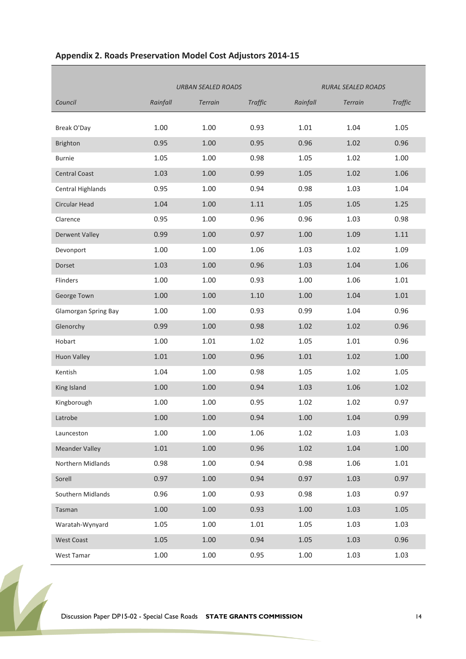|                             | <b>URBAN SEALED ROADS</b> |                |                | <b>RURAL SEALED ROADS</b> |                |                |
|-----------------------------|---------------------------|----------------|----------------|---------------------------|----------------|----------------|
| Council                     | Rainfall                  | <b>Terrain</b> | <b>Traffic</b> | Rainfall                  | <b>Terrain</b> | <b>Traffic</b> |
|                             |                           |                |                |                           |                |                |
| Break O'Day                 | 1.00                      | 1.00           | 0.93           | 1.01                      | 1.04           | 1.05           |
| <b>Brighton</b>             | 0.95                      | 1.00           | 0.95           | 0.96                      | 1.02           | 0.96           |
| <b>Burnie</b>               | 1.05                      | 1.00           | 0.98           | 1.05                      | 1.02           | 1.00           |
| <b>Central Coast</b>        | 1.03                      | 1.00           | 0.99           | 1.05                      | 1.02           | 1.06           |
| Central Highlands           | 0.95                      | 1.00           | 0.94           | 0.98                      | 1.03           | 1.04           |
| <b>Circular Head</b>        | 1.04                      | 1.00           | 1.11           | 1.05                      | 1.05           | 1.25           |
| Clarence                    | 0.95                      | 1.00           | 0.96           | 0.96                      | 1.03           | 0.98           |
| <b>Derwent Valley</b>       | 0.99                      | 1.00           | 0.97           | 1.00                      | 1.09           | 1.11           |
| Devonport                   | 1.00                      | 1.00           | 1.06           | 1.03                      | 1.02           | 1.09           |
| Dorset                      | 1.03                      | 1.00           | 0.96           | 1.03                      | 1.04           | 1.06           |
| Flinders                    | 1.00                      | 1.00           | 0.93           | 1.00                      | 1.06           | 1.01           |
| George Town                 | 1.00                      | 1.00           | 1.10           | 1.00                      | 1.04           | 1.01           |
| <b>Glamorgan Spring Bay</b> | 1.00                      | 1.00           | 0.93           | 0.99                      | 1.04           | 0.96           |
| Glenorchy                   | 0.99                      | 1.00           | 0.98           | 1.02                      | 1.02           | 0.96           |
| Hobart                      | 1.00                      | 1.01           | 1.02           | 1.05                      | 1.01           | 0.96           |
| <b>Huon Valley</b>          | 1.01                      | 1.00           | 0.96           | 1.01                      | 1.02           | 1.00           |
| Kentish                     | 1.04                      | 1.00           | 0.98           | 1.05                      | 1.02           | 1.05           |
| King Island                 | 1.00                      | 1.00           | 0.94           | 1.03                      | 1.06           | 1.02           |
| Kingborough                 | 1.00                      | 1.00           | 0.95           | 1.02                      | 1.02           | 0.97           |
| Latrobe                     | 1.00                      | 1.00           | 0.94           | 1.00                      | 1.04           | 0.99           |
| Launceston                  | 1.00                      | 1.00           | 1.06           | 1.02                      | 1.03           | 1.03           |
| <b>Meander Valley</b>       | $1.01\,$                  | 1.00           | 0.96           | 1.02                      | 1.04           | 1.00           |
| Northern Midlands           | 0.98                      | 1.00           | 0.94           | 0.98                      | 1.06           | 1.01           |
| Sorell                      | 0.97                      | 1.00           | 0.94           | 0.97                      | 1.03           | 0.97           |
| Southern Midlands           | 0.96                      | 1.00           | 0.93           | 0.98                      | 1.03           | 0.97           |
| Tasman                      | 1.00                      | 1.00           | 0.93           | 1.00                      | 1.03           | 1.05           |
| Waratah-Wynyard             | 1.05                      | 1.00           | 1.01           | 1.05                      | 1.03           | 1.03           |
| <b>West Coast</b>           | 1.05                      | 1.00           | 0.94           | 1.05                      | 1.03           | 0.96           |
| West Tamar                  | 1.00                      | 1.00           | 0.95           | 1.00                      | 1.03           | 1.03           |

#### **Appendix 2. Roads Preservation Model Cost Adjustors 2014-15**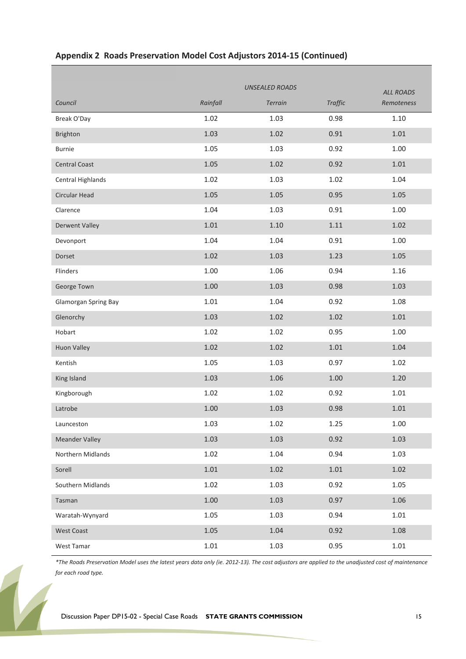|                       |          |                | <b>ALL ROADS</b> |            |  |  |
|-----------------------|----------|----------------|------------------|------------|--|--|
| Council               | Rainfall | <b>Terrain</b> | <b>Traffic</b>   | Remoteness |  |  |
| Break O'Day           | 1.02     | 1.03           | 0.98             | 1.10       |  |  |
| <b>Brighton</b>       | 1.03     | $1.02\,$       | 0.91             | 1.01       |  |  |
| <b>Burnie</b>         | 1.05     | 1.03           | 0.92             | 1.00       |  |  |
| <b>Central Coast</b>  | 1.05     | 1.02           | 0.92             | 1.01       |  |  |
| Central Highlands     | 1.02     | 1.03           | 1.02             | 1.04       |  |  |
| Circular Head         | 1.05     | 1.05           | 0.95             | 1.05       |  |  |
| Clarence              | 1.04     | 1.03           | 0.91             | 1.00       |  |  |
| <b>Derwent Valley</b> | $1.01\,$ | 1.10           | 1.11             | 1.02       |  |  |
| Devonport             | 1.04     | 1.04           | 0.91             | 1.00       |  |  |
| Dorset                | $1.02\,$ | 1.03           | 1.23             | 1.05       |  |  |
| Flinders              | 1.00     | 1.06           | 0.94             | 1.16       |  |  |
| George Town           | $1.00\,$ | 1.03           | 0.98             | 1.03       |  |  |
| Glamorgan Spring Bay  | $1.01\,$ | 1.04           | 0.92             | 1.08       |  |  |
| Glenorchy             | 1.03     | 1.02           | 1.02             | 1.01       |  |  |
| Hobart                | 1.02     | 1.02           | 0.95             | 1.00       |  |  |
| Huon Valley           | $1.02\,$ | $1.02\,$       | $1.01\,$         | 1.04       |  |  |
| Kentish               | 1.05     | 1.03           | 0.97             | 1.02       |  |  |
| King Island           | 1.03     | 1.06           | $1.00\,$         | 1.20       |  |  |
| Kingborough           | 1.02     | 1.02           | 0.92             | 1.01       |  |  |
| Latrobe               | 1.00     | 1.03           | 0.98             | 1.01       |  |  |
| Launceston            | 1.03     | 1.02           | 1.25             | 1.00       |  |  |
| <b>Meander Valley</b> | 1.03     | 1.03           | 0.92             | 1.03       |  |  |
| Northern Midlands     | 1.02     | 1.04           | 0.94             | 1.03       |  |  |
| Sorell                | $1.01\,$ | 1.02           | 1.01             | 1.02       |  |  |
| Southern Midlands     | 1.02     | 1.03           | 0.92             | 1.05       |  |  |
| Tasman                | 1.00     | 1.03           | 0.97             | 1.06       |  |  |
| Waratah-Wynyard       | 1.05     | 1.03           | 0.94             | 1.01       |  |  |
| <b>West Coast</b>     | 1.05     | 1.04           | 0.92             | 1.08       |  |  |
| West Tamar            | $1.01\,$ | 1.03           | 0.95             | $1.01\,$   |  |  |

#### **Appendix 2 Roads Preservation Model Cost Adjustors 2014-15 (Continued)**

*\*The Roads Preservation Model uses the latest years data only (ie. 2012-13). The cost adjustors are applied to the unadjusted cost of maintenance for each road type.*